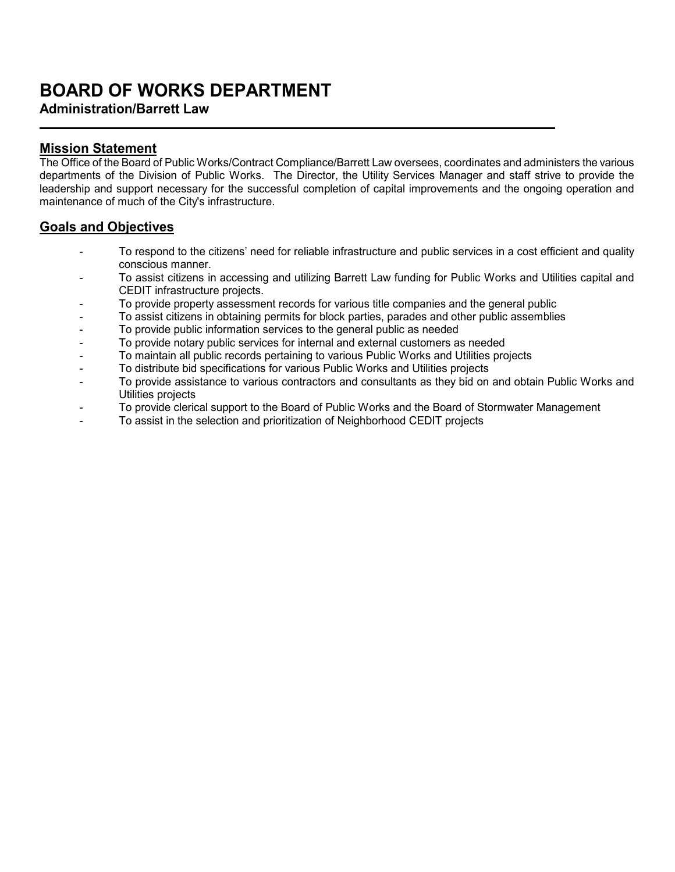# **BOARD OF WORKS DEPARTMENT**

# **Administration/Barrett Law**

# **Mission Statement**

L

The Office of the Board of Public Works/Contract Compliance/Barrett Law oversees, coordinates and administers the various departments of the Division of Public Works. The Director, the Utility Services Manager and staff strive to provide the leadership and support necessary for the successful completion of capital improvements and the ongoing operation and maintenance of much of the City's infrastructure.

## **Goals and Objectives**

- To respond to the citizens' need for reliable infrastructure and public services in a cost efficient and quality conscious manner.
- To assist citizens in accessing and utilizing Barrett Law funding for Public Works and Utilities capital and CEDIT infrastructure projects.
- To provide property assessment records for various title companies and the general public
- To assist citizens in obtaining permits for block parties, parades and other public assemblies
- To provide public information services to the general public as needed
- To provide notary public services for internal and external customers as needed
- To maintain all public records pertaining to various Public Works and Utilities projects
- To distribute bid specifications for various Public Works and Utilities projects
- To provide assistance to various contractors and consultants as they bid on and obtain Public Works and Utilities projects
- To provide clerical support to the Board of Public Works and the Board of Stormwater Management
- To assist in the selection and prioritization of Neighborhood CEDIT projects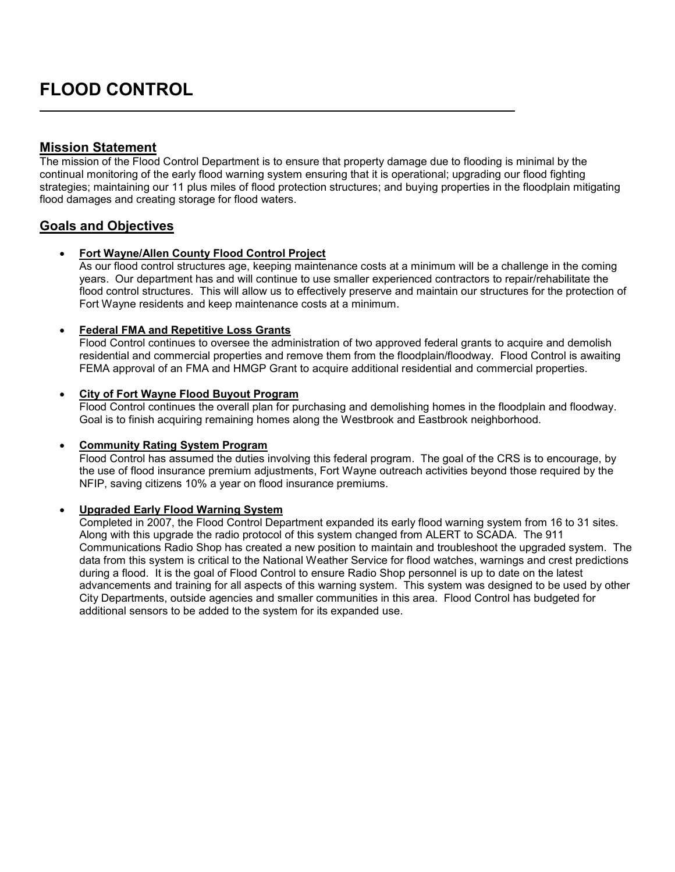## **Mission Statement**

L

The mission of the Flood Control Department is to ensure that property damage due to flooding is minimal by the continual monitoring of the early flood warning system ensuring that it is operational; upgrading our flood fighting strategies; maintaining our 11 plus miles of flood protection structures; and buying properties in the floodplain mitigating flood damages and creating storage for flood waters.

## **Goals and Objectives**

## • **Fort Wayne/Allen County Flood Control Project**

As our flood control structures age, keeping maintenance costs at a minimum will be a challenge in the coming years. Our department has and will continue to use smaller experienced contractors to repair/rehabilitate the flood control structures. This will allow us to effectively preserve and maintain our structures for the protection of Fort Wayne residents and keep maintenance costs at a minimum.

## • **Federal FMA and Repetitive Loss Grants**

Flood Control continues to oversee the administration of two approved federal grants to acquire and demolish residential and commercial properties and remove them from the floodplain/floodway. Flood Control is awaiting FEMA approval of an FMA and HMGP Grant to acquire additional residential and commercial properties.

## • **City of Fort Wayne Flood Buyout Program**

Flood Control continues the overall plan for purchasing and demolishing homes in the floodplain and floodway. Goal is to finish acquiring remaining homes along the Westbrook and Eastbrook neighborhood.

## • **Community Rating System Program**

Flood Control has assumed the duties involving this federal program. The goal of the CRS is to encourage, by the use of flood insurance premium adjustments, Fort Wayne outreach activities beyond those required by the NFIP, saving citizens 10% a year on flood insurance premiums.

## • **Upgraded Early Flood Warning System**

Completed in 2007, the Flood Control Department expanded its early flood warning system from 16 to 31 sites. Along with this upgrade the radio protocol of this system changed from ALERT to SCADA. The 911 Communications Radio Shop has created a new position to maintain and troubleshoot the upgraded system. The data from this system is critical to the National Weather Service for flood watches, warnings and crest predictions during a flood. It is the goal of Flood Control to ensure Radio Shop personnel is up to date on the latest advancements and training for all aspects of this warning system. This system was designed to be used by other City Departments, outside agencies and smaller communities in this area. Flood Control has budgeted for additional sensors to be added to the system for its expanded use.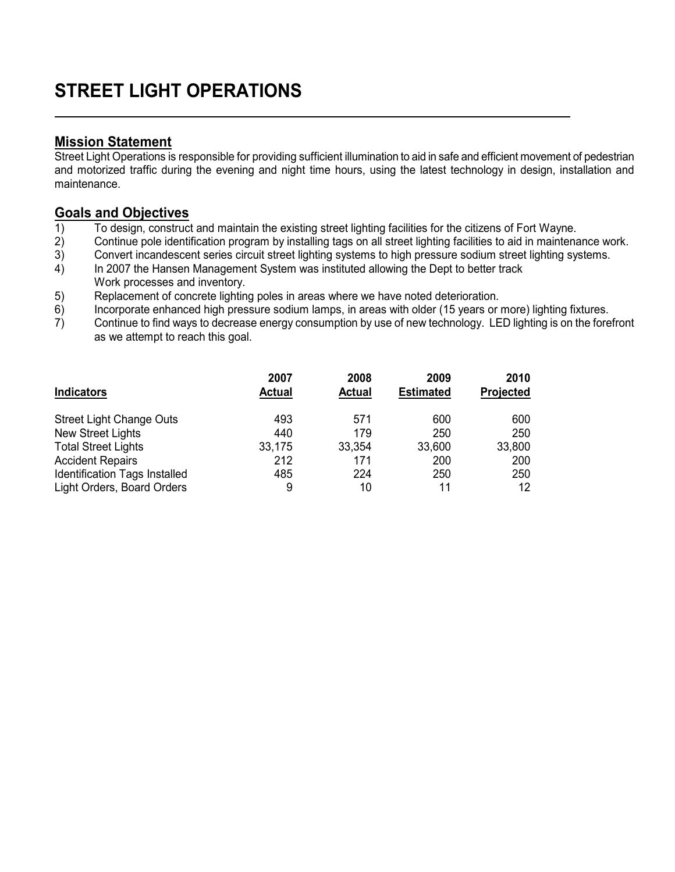# **STREET LIGHT OPERATIONS**

# **Mission Statement**

Street Light Operations is responsible for providing sufficient illumination to aid in safe and efficient movement of pedestrian and motorized traffic during the evening and night time hours, using the latest technology in design, installation and maintenance.

# **Goals and Objectives**

- 1) To design, construct and maintain the existing street lighting facilities for the citizens of Fort Wayne.
- 2) Continue pole identification program by installing tags on all street lighting facilities to aid in maintenance work.
- 3) Convert incandescent series circuit street lighting systems to high pressure sodium street lighting systems.
- 4) In 2007 the Hansen Management System was instituted allowing the Dept to better track Work processes and inventory.
- 5) Replacement of concrete lighting poles in areas where we have noted deterioration.
- 6) Incorporate enhanced high pressure sodium lamps, in areas with older (15 years or more) lighting fixtures.
- 7) Continue to find ways to decrease energy consumption by use of new technology. LED lighting is on the forefront as we attempt to reach this goal.

| <b>Indicators</b>               | 2007<br><b>Actual</b> | 2008<br><b>Actual</b> | 2009<br><b>Estimated</b> | 2010<br><b>Projected</b> |
|---------------------------------|-----------------------|-----------------------|--------------------------|--------------------------|
| <b>Street Light Change Outs</b> | 493                   | 571                   | 600                      | 600                      |
| New Street Lights               | 440                   | 179                   | 250                      | 250                      |
| <b>Total Street Lights</b>      | 33,175                | 33,354                | 33,600                   | 33,800                   |
| <b>Accident Repairs</b>         | 212                   | 171                   | 200                      | 200                      |
| Identification Tags Installed   | 485                   | 224                   | 250                      | 250                      |
| Light Orders, Board Orders      | 9                     | 10                    | 11                       | 12                       |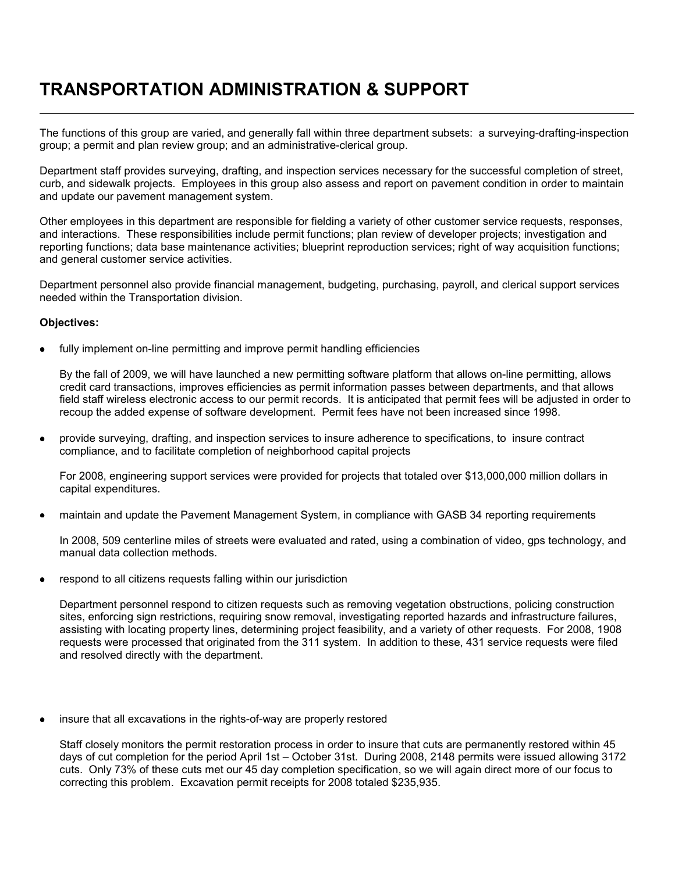# **TRANSPORTATION ADMINISTRATION & SUPPORT**

The functions of this group are varied, and generally fall within three department subsets: a surveying-drafting-inspection group; a permit and plan review group; and an administrative-clerical group.

Department staff provides surveying, drafting, and inspection services necessary for the successful completion of street, curb, and sidewalk projects. Employees in this group also assess and report on pavement condition in order to maintain and update our pavement management system.

Other employees in this department are responsible for fielding a variety of other customer service requests, responses, and interactions. These responsibilities include permit functions; plan review of developer projects; investigation and reporting functions; data base maintenance activities; blueprint reproduction services; right of way acquisition functions; and general customer service activities.

Department personnel also provide financial management, budgeting, purchasing, payroll, and clerical support services needed within the Transportation division.

#### **Objectives:**

• fully implement on-line permitting and improve permit handling efficiencies

By the fall of 2009, we will have launched a new permitting software platform that allows on-line permitting, allows credit card transactions, improves efficiencies as permit information passes between departments, and that allows field staff wireless electronic access to our permit records. It is anticipated that permit fees will be adjusted in order to recoup the added expense of software development. Permit fees have not been increased since 1998.

• provide surveying, drafting, and inspection services to insure adherence to specifications, to insure contract compliance, and to facilitate completion of neighborhood capital projects

For 2008, engineering support services were provided for projects that totaled over \$13,000,000 million dollars in capital expenditures.

• maintain and update the Pavement Management System, in compliance with GASB 34 reporting requirements

In 2008, 509 centerline miles of streets were evaluated and rated, using a combination of video, gps technology, and manual data collection methods.

respond to all citizens requests falling within our jurisdiction

Department personnel respond to citizen requests such as removing vegetation obstructions, policing construction sites, enforcing sign restrictions, requiring snow removal, investigating reported hazards and infrastructure failures, assisting with locating property lines, determining project feasibility, and a variety of other requests. For 2008, 1908 requests were processed that originated from the 311 system. In addition to these, 431 service requests were filed and resolved directly with the department.

insure that all excavations in the rights-of-way are properly restored

Staff closely monitors the permit restoration process in order to insure that cuts are permanently restored within 45 days of cut completion for the period April 1st – October 31st. During 2008, 2148 permits were issued allowing 3172 cuts. Only 73% of these cuts met our 45 day completion specification, so we will again direct more of our focus to correcting this problem. Excavation permit receipts for 2008 totaled \$235,935.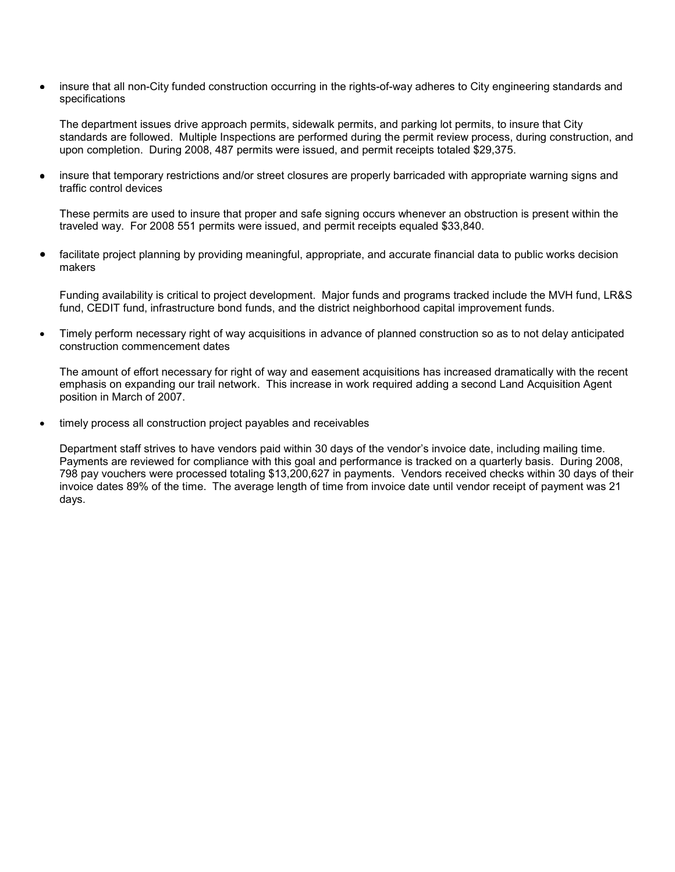• insure that all non-City funded construction occurring in the rights-of-way adheres to City engineering standards and specifications

The department issues drive approach permits, sidewalk permits, and parking lot permits, to insure that City standards are followed. Multiple Inspections are performed during the permit review process, during construction, and upon completion. During 2008, 487 permits were issued, and permit receipts totaled \$29,375.

• insure that temporary restrictions and/or street closures are properly barricaded with appropriate warning signs and traffic control devices

These permits are used to insure that proper and safe signing occurs whenever an obstruction is present within the traveled way. For 2008 551 permits were issued, and permit receipts equaled \$33,840.

facilitate project planning by providing meaningful, appropriate, and accurate financial data to public works decision makers

Funding availability is critical to project development. Major funds and programs tracked include the MVH fund, LR&S fund, CEDIT fund, infrastructure bond funds, and the district neighborhood capital improvement funds.

• Timely perform necessary right of way acquisitions in advance of planned construction so as to not delay anticipated construction commencement dates

The amount of effort necessary for right of way and easement acquisitions has increased dramatically with the recent emphasis on expanding our trail network. This increase in work required adding a second Land Acquisition Agent position in March of 2007.

timely process all construction project payables and receivables

Department staff strives to have vendors paid within 30 days of the vendor's invoice date, including mailing time. Payments are reviewed for compliance with this goal and performance is tracked on a quarterly basis. During 2008, 798 pay vouchers were processed totaling \$13,200,627 in payments. Vendors received checks within 30 days of their invoice dates 89% of the time. The average length of time from invoice date until vendor receipt of payment was 21 days.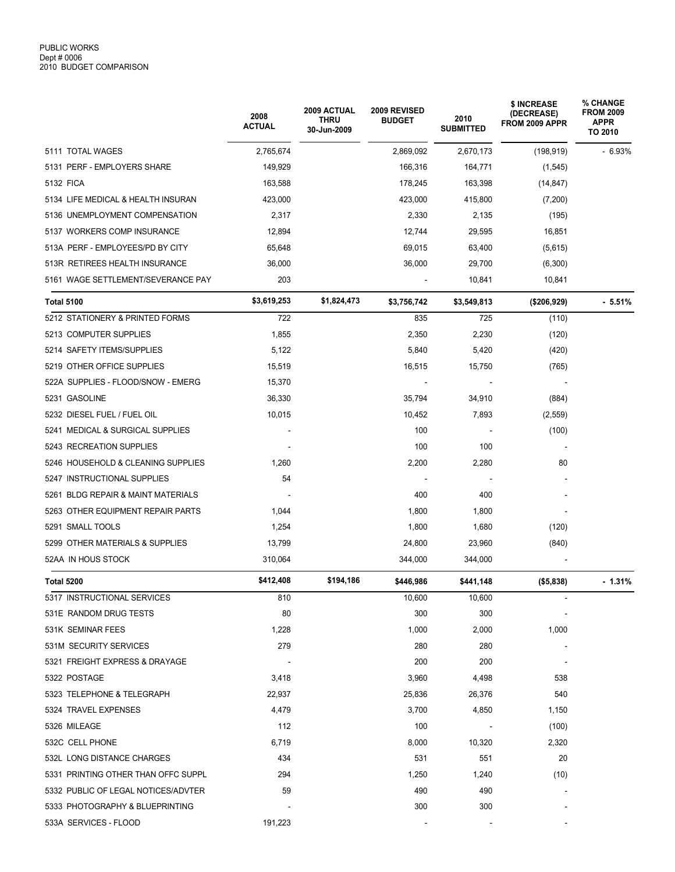|                                     | 2008<br><b>ACTUAL</b> | 2009 ACTUAL<br><b>THRU</b><br>30-Jun-2009 | 2009 REVISED<br><b>BUDGET</b> | 2010<br><b>SUBMITTED</b> | \$ INCREASE<br>(DECREASE)<br>FROM 2009 APPR | % CHANGE<br><b>FROM 2009</b><br><b>APPR</b><br>TO 2010 |
|-------------------------------------|-----------------------|-------------------------------------------|-------------------------------|--------------------------|---------------------------------------------|--------------------------------------------------------|
| 5111 TOTAL WAGES                    | 2,765,674             |                                           | 2,869,092                     | 2,670,173                | (198, 919)                                  | $-6.93%$                                               |
| 5131 PERF - EMPLOYERS SHARE         | 149,929               |                                           | 166,316                       | 164,771                  | (1, 545)                                    |                                                        |
| 5132 FICA                           | 163,588               |                                           | 178,245                       | 163,398                  | (14, 847)                                   |                                                        |
| 5134 LIFE MEDICAL & HEALTH INSURAN  | 423,000               |                                           | 423,000                       | 415,800                  | (7,200)                                     |                                                        |
| 5136 UNEMPLOYMENT COMPENSATION      | 2,317                 |                                           | 2,330                         | 2,135                    | (195)                                       |                                                        |
| 5137 WORKERS COMP INSURANCE         | 12,894                |                                           | 12,744                        | 29,595                   | 16,851                                      |                                                        |
| 513A PERF - EMPLOYEES/PD BY CITY    | 65,648                |                                           | 69,015                        | 63,400                   | (5,615)                                     |                                                        |
| 513R RETIREES HEALTH INSURANCE      | 36,000                |                                           | 36,000                        | 29,700                   | (6,300)                                     |                                                        |
| 5161 WAGE SETTLEMENT/SEVERANCE PAY  | 203                   |                                           |                               | 10,841                   | 10,841                                      |                                                        |
| <b>Total 5100</b>                   | \$3,619,253           | \$1,824,473                               | \$3,756,742                   | \$3,549,813              | (\$206,929)                                 | $-5.51%$                                               |
| 5212 STATIONERY & PRINTED FORMS     | 722                   |                                           | 835                           | 725                      | (110)                                       |                                                        |
| 5213 COMPUTER SUPPLIES              | 1,855                 |                                           | 2,350                         | 2,230                    | (120)                                       |                                                        |
| 5214 SAFETY ITEMS/SUPPLIES          | 5,122                 |                                           | 5,840                         | 5,420                    | (420)                                       |                                                        |
| 5219 OTHER OFFICE SUPPLIES          | 15,519                |                                           | 16,515                        | 15,750                   | (765)                                       |                                                        |
| 522A SUPPLIES - FLOOD/SNOW - EMERG  | 15,370                |                                           |                               |                          |                                             |                                                        |
| 5231 GASOLINE                       | 36,330                |                                           | 35,794                        | 34,910                   | (884)                                       |                                                        |
| 5232 DIESEL FUEL / FUEL OIL         | 10,015                |                                           | 10,452                        | 7,893                    | (2, 559)                                    |                                                        |
| 5241 MEDICAL & SURGICAL SUPPLIES    |                       |                                           | 100                           |                          | (100)                                       |                                                        |
| 5243 RECREATION SUPPLIES            |                       |                                           | 100                           | 100                      |                                             |                                                        |
| 5246 HOUSEHOLD & CLEANING SUPPLIES  | 1,260                 |                                           | 2,200                         | 2,280                    | 80                                          |                                                        |
| 5247 INSTRUCTIONAL SUPPLIES         | 54                    |                                           |                               |                          |                                             |                                                        |
| 5261 BLDG REPAIR & MAINT MATERIALS  |                       |                                           | 400                           | 400                      |                                             |                                                        |
| 5263 OTHER EQUIPMENT REPAIR PARTS   | 1,044                 |                                           | 1,800                         | 1,800                    |                                             |                                                        |
| 5291 SMALL TOOLS                    | 1,254                 |                                           | 1,800                         | 1,680                    | (120)                                       |                                                        |
| 5299 OTHER MATERIALS & SUPPLIES     | 13,799                |                                           | 24,800                        | 23,960                   | (840)                                       |                                                        |
| 52AA IN HOUS STOCK                  | 310,064               |                                           | 344,000                       | 344,000                  |                                             |                                                        |
| Total 5200                          | \$412,408             | \$194,186                                 | \$446,986                     | \$441,148                | ( \$5,838)                                  | $-1.31%$                                               |
| 5317 INSTRUCTIONAL SERVICES         | 810                   |                                           | 10,600                        | 10,600                   |                                             |                                                        |
| 531E RANDOM DRUG TESTS              | 80                    |                                           | 300                           | 300                      |                                             |                                                        |
| 531K SEMINAR FEES                   | 1,228                 |                                           | 1,000                         | 2,000                    | 1,000                                       |                                                        |
| 531M SECURITY SERVICES              | 279                   |                                           | 280                           | 280                      |                                             |                                                        |
| 5321 FREIGHT EXPRESS & DRAYAGE      |                       |                                           | 200                           | 200                      |                                             |                                                        |
| 5322 POSTAGE                        | 3,418                 |                                           | 3,960                         | 4,498                    | 538                                         |                                                        |
| 5323 TELEPHONE & TELEGRAPH          | 22,937                |                                           | 25,836                        | 26,376                   | 540                                         |                                                        |
| 5324 TRAVEL EXPENSES                | 4,479                 |                                           | 3,700                         | 4,850                    | 1,150                                       |                                                        |
| 5326 MILEAGE                        | 112                   |                                           | 100                           |                          | (100)                                       |                                                        |
| 532C CELL PHONE                     | 6,719                 |                                           | 8,000                         | 10,320                   | 2,320                                       |                                                        |
| 532L LONG DISTANCE CHARGES          | 434                   |                                           | 531                           | 551                      | 20                                          |                                                        |
| 5331 PRINTING OTHER THAN OFFC SUPPL | 294                   |                                           | 1,250                         | 1,240                    | (10)                                        |                                                        |
| 5332 PUBLIC OF LEGAL NOTICES/ADVTER | 59                    |                                           | 490                           | 490                      |                                             |                                                        |
| 5333 PHOTOGRAPHY & BLUEPRINTING     |                       |                                           | 300                           | 300                      |                                             |                                                        |
| 533A SERVICES - FLOOD               | 191,223               |                                           |                               |                          |                                             |                                                        |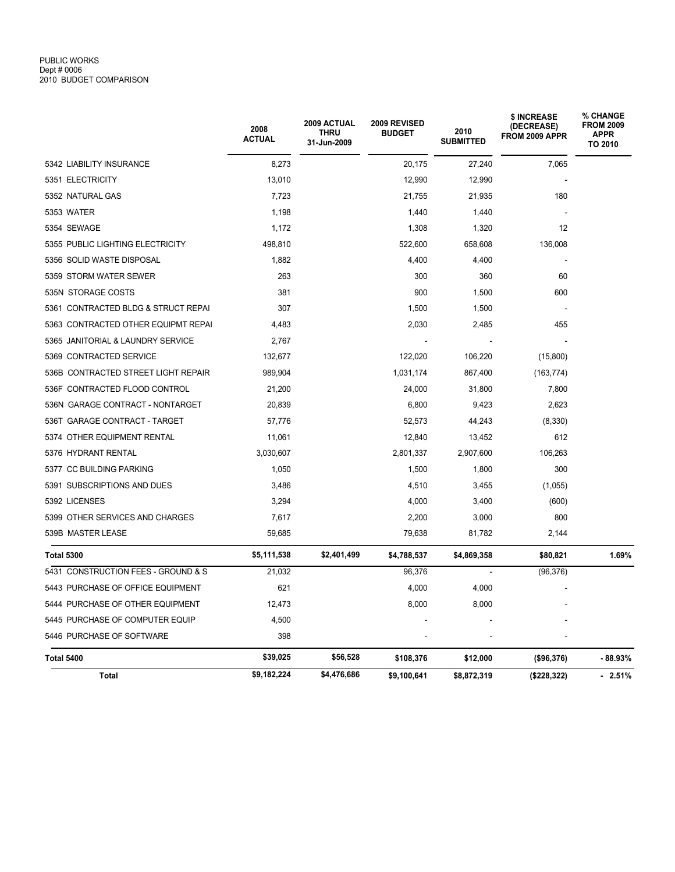|                                     | 2008<br><b>ACTUAL</b> | 2009 ACTUAL<br>THRU<br>31-Jun-2009 | 2009 REVISED<br><b>BUDGET</b> | 2010<br><b>SUBMITTED</b> | \$ INCREASE<br>(DECREASE)<br><b>FROM 2009 APPR</b> | % CHANGE<br><b>FROM 2009</b><br>APPR<br>TO 2010 |
|-------------------------------------|-----------------------|------------------------------------|-------------------------------|--------------------------|----------------------------------------------------|-------------------------------------------------|
| 5342 LIABILITY INSURANCE            | 8,273                 |                                    | 20,175                        | 27,240                   | 7,065                                              |                                                 |
| 5351 ELECTRICITY                    | 13,010                |                                    | 12,990                        | 12,990                   |                                                    |                                                 |
| 5352 NATURAL GAS                    | 7,723                 |                                    | 21,755                        | 21,935                   | 180                                                |                                                 |
| 5353 WATER                          | 1,198                 |                                    | 1,440                         | 1,440                    |                                                    |                                                 |
| 5354 SEWAGE                         | 1,172                 |                                    | 1,308                         | 1,320                    | 12                                                 |                                                 |
| 5355 PUBLIC LIGHTING ELECTRICITY    | 498,810               |                                    | 522,600                       | 658,608                  | 136,008                                            |                                                 |
| 5356 SOLID WASTE DISPOSAL           | 1.882                 |                                    | 4,400                         | 4,400                    |                                                    |                                                 |
| 5359 STORM WATER SEWER              | 263                   |                                    | 300                           | 360                      | 60                                                 |                                                 |
| 535N STORAGE COSTS                  | 381                   |                                    | 900                           | 1,500                    | 600                                                |                                                 |
| 5361 CONTRACTED BLDG & STRUCT REPAI | 307                   |                                    | 1,500                         | 1,500                    |                                                    |                                                 |
| 5363 CONTRACTED OTHER EQUIPMT REPAI | 4,483                 |                                    | 2,030                         | 2,485                    | 455                                                |                                                 |
| 5365 JANITORIAL & LAUNDRY SERVICE   | 2,767                 |                                    |                               |                          |                                                    |                                                 |
| 5369 CONTRACTED SERVICE             | 132,677               |                                    | 122,020                       | 106,220                  | (15,800)                                           |                                                 |
| 536B CONTRACTED STREET LIGHT REPAIR | 989,904               |                                    | 1,031,174                     | 867,400                  | (163, 774)                                         |                                                 |
| 536F CONTRACTED FLOOD CONTROL       | 21,200                |                                    | 24,000                        | 31,800                   | 7,800                                              |                                                 |
| 536N GARAGE CONTRACT - NONTARGET    | 20,839                |                                    | 6,800                         | 9,423                    | 2,623                                              |                                                 |
| 536T GARAGE CONTRACT - TARGET       | 57,776                |                                    | 52,573                        | 44,243                   | (8,330)                                            |                                                 |
| 5374 OTHER EQUIPMENT RENTAL         | 11,061                |                                    | 12,840                        | 13,452                   | 612                                                |                                                 |
| 5376 HYDRANT RENTAL                 | 3,030,607             |                                    | 2,801,337                     | 2,907,600                | 106,263                                            |                                                 |
| 5377 CC BUILDING PARKING            | 1,050                 |                                    | 1,500                         | 1,800                    | 300                                                |                                                 |
| 5391 SUBSCRIPTIONS AND DUES         | 3,486                 |                                    | 4,510                         | 3,455                    | (1,055)                                            |                                                 |
| 5392 LICENSES                       | 3,294                 |                                    | 4,000                         | 3,400                    | (600)                                              |                                                 |
| 5399 OTHER SERVICES AND CHARGES     | 7,617                 |                                    | 2,200                         | 3,000                    | 800                                                |                                                 |
| 539B MASTER LEASE                   | 59,685                |                                    | 79,638                        | 81,782                   | 2,144                                              |                                                 |
| <b>Total 5300</b>                   | \$5,111,538           | \$2,401,499                        | \$4,788,537                   | \$4,869,358              | \$80,821                                           | 1.69%                                           |
| 5431 CONSTRUCTION FEES - GROUND & S | 21,032                |                                    | 96,376                        |                          | (96, 376)                                          |                                                 |
| 5443 PURCHASE OF OFFICE EQUIPMENT   | 621                   |                                    | 4,000                         | 4,000                    |                                                    |                                                 |
| 5444 PURCHASE OF OTHER EQUIPMENT    | 12,473                |                                    | 8,000                         | 8,000                    |                                                    |                                                 |
| 5445 PURCHASE OF COMPUTER EQUIP     | 4,500                 |                                    |                               |                          |                                                    |                                                 |
| 5446 PURCHASE OF SOFTWARE           | 398                   |                                    |                               |                          |                                                    |                                                 |
| <b>Total 5400</b>                   | \$39,025              | \$56,528                           | \$108,376                     | \$12,000                 | (\$96,376)                                         | $-88.93%$                                       |
| <b>Total</b>                        | \$9,182,224           | \$4,476,686                        | \$9,100,641                   | \$8,872,319              | (\$228,322)                                        | $-2.51%$                                        |